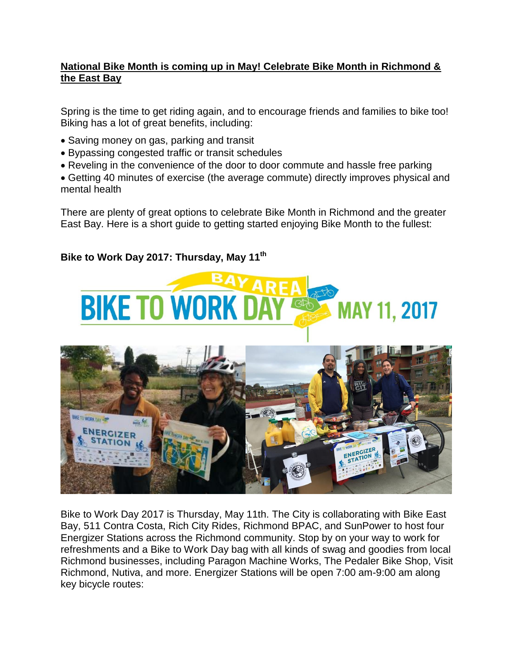## **National Bike Month is coming up in May! Celebrate Bike Month in Richmond & the East Bay**

Spring is the time to get riding again, and to encourage friends and families to bike too! Biking has a lot of great benefits, including:

- Saving money on gas, parking and transit
- Bypassing congested traffic or transit schedules
- Reveling in the convenience of the door to door commute and hassle free parking
- Getting 40 minutes of exercise (the average commute) directly improves physical and mental health

There are plenty of great options to celebrate Bike Month in Richmond and the greater East Bay. Here is a short guide to getting started enjoying Bike Month to the fullest:

## **Bike to Work Day 2017: Thursday, May 11th**





Bike to Work Day 2017 is Thursday, May 11th. The City is collaborating with Bike East Bay, 511 Contra Costa, Rich City Rides, Richmond BPAC, and SunPower to host four Energizer Stations across the Richmond community. Stop by on your way to work for refreshments and a Bike to Work Day bag with all kinds of swag and goodies from local Richmond businesses, including Paragon Machine Works, The Pedaler Bike Shop, Visit Richmond, Nutiva, and more. Energizer Stations will be open 7:00 am-9:00 am along key bicycle routes: